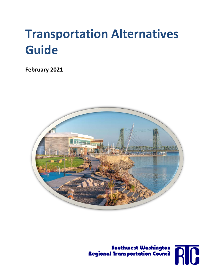# **Transportation Alternatives Guide**

**February 2021**





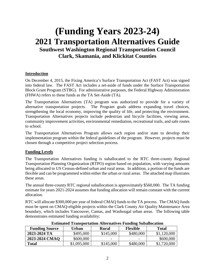# **(Funding Years 2023-24) 2021 Transportation Alternatives Guide Southwest Washington Regional Transportation Council Clark, Skamania, and Klickitat Counties**

### **Introduction**

On December 4, 2015, the Fixing America's Surface Transportation Act (FAST Act) was signed into federal law. The FAST Act includes a set-aside of funds under the Surface Transportation Block Grant Program (STBG). For administrative purposes, the Federal Highway Administration (FHWA) refers to these funds as the TA Set-Aside (TA).

The Transportation Alternatives (TA) program was authorized to provide for a variety of alternative transportation projects. The Program goals address expanding travel choices, strengthening the local economy, improving the quality of life, and protecting the environment. Transportation Alternatives projects include pedestrian and bicycle facilities, viewing areas, community improvement activities, environmental remediation, recreational trails, and safe routes to school.

The Transportation Alternatives Program allows each region and/or state to develop their implementation program within the federal guidelines of the program. However, projects must be chosen through a competitive project selection process.

### **Funding Levels**

The Transportation Alternatives funding is suballocated to the RTC three-county Regional Transportation Planning Organization (RTPO) region based on population, with varying amounts being allocated to US Census-defined urban and rural areas. In addition, a portion of the funds are flexible and can be programmed within either the urban or rural areas. The attached map illustrates these areas.

The annual three-county RTC regional suballocation is approximately \$560,000. The TA funding estimate for years 2021-2024 assumes that funding allocation will remain constant with the current allocation.

RTC will allocate \$300,000 per year of federal CMAQ funds to the TA process. The CMAQ funds must be spent on CMAQ-eligible projects within the Clark County Air Quality Maintenance Area boundary, which includes Vancouver, Camas, and Washougal urban areas. The following table demonstrates estimated funding availability:

| <b>Funding Source</b> | Urban       | Rural                    | <b>Flexible</b>          | Total       |
|-----------------------|-------------|--------------------------|--------------------------|-------------|
| 2023-2024 TA          | \$495,000   | \$145,000                | \$480,000                | \$1,120,000 |
| 2023-2024 CMAQ        | \$600,000   | $\overline{\phantom{a}}$ | $\overline{\phantom{a}}$ | \$600,000   |
| <b>Total</b>          | \$1,095,000 | \$145,000                | \$480,000                | \$1,720,000 |

#### **Estimated Transportation Alternatives Funding Suballocation**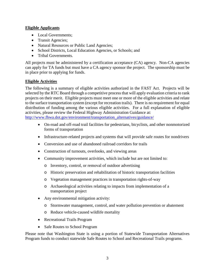## **Eligible Applicants**

- Local Governments;
- Transit Agencies;
- Natural Resources or Public Land Agencies;
- School Districts, Local Education Agencies, or Schools; and
- Tribal Governments.

All projects must be administered by a certification acceptance (CA) agency. Non-CA agencies can apply for TA funds but must have a CA agency sponsor the project. The sponsorship must be in place prior to applying for funds.

# **Eligible Activities**

The following is a summary of eligible activities authorized in the FAST Act. Projects will be selected by the RTC Board through a competitive process that will apply evaluation criteria to rank projects on their merit. Eligible projects must meet one or more of the eligible activities and relate to the surface transportation system (except for recreation trails). There is no requirement for equal distribution of funding among the various eligible activities. For a full explanation of eligible activities, please review the Federal Highway Administration Guidance at:

[http://www.fhwa.dot.gov/environment/transportation\\_alternatives/guidance/](http://www.fhwa.dot.gov/environment/transportation_alternatives/guidance/)

- On-road and off-road trail facilities for pedestrians, bicyclists, and other nonmotorized forms of transportation
- Infrastructure-related projects and systems that will provide safe routes for nondrivers
- Conversion and use of abandoned railroad corridors for trails
- Construction of turnouts, overlooks, and viewing areas
- Community improvement activities, which include but are not limited to:
	- o Inventory, control, or removal of outdoor advertising
	- o Historic preservation and rehabilitation of historic transportation facilities
	- o Vegetation management practices in transportation rights-of-way
	- o Archaeological activities relating to impacts from implementation of a transportation project
- Any environmental mitigation activity:
	- o Stormwater management, control, and water pollution prevention or abatement
	- o Reduce vehicle-caused wildlife mortality
- Recreational Trails Program
- Safe Routes to School Program

Please note that Washington State is using a portion of Statewide Transportation Alternatives Program funds to conduct statewide Safe Routes to School and Recreational Trails programs.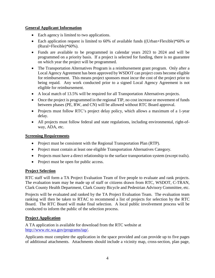### **General Applicant Information**

- Each agency is limited to two applications.
- Each application request is limited to 60% of available funds ((Urban+Flexible)\*60% or (Rural+Flexible)\*60%).
- Funds are available to be programmed in calendar years 2023 to 2024 and will be programmed on a priority basis. If a project is selected for funding, there is no guarantee on which year the project will be programmed.
- The Transportation Alternatives Program is a reimbursement grant program. Only after a Local Agency Agreement has been approved by WSDOT can project costs become eligible for reimbursement. This means project sponsors must incur the cost of the project prior to being repaid. Any work conducted prior to a signed Local Agency Agreement is not eligible for reimbursement.
- A local match of 13.5% will be required for all Transportation Alternatives projects.
- Once the project is programmed in the regional TIP, no cost increase or movement of funds between phases (PE, RW, and CN) will be allowed without RTC Board approval.
- Projects must follow RTC's project delay policy, which allows a maximum of a 1-year delay.
- All projects must follow federal and state regulations, including environmental, right-ofway, ADA, etc.

#### **Screening Requirements**

- Project must be consistent with the Regional Transportation Plan (RTP).
- Project must contain at least one eligible Transportation Alternatives Category.
- Projects must have a direct relationship to the surface transportation system (except trails).
- Project must be open for public access.

### **Project Selection**

RTC staff will form a TA Project Evaluation Team of five people to evaluate and rank projects. The evaluation team may be made up of staff or citizens drawn from RTC, WSDOT, C-TRAN, Clark County Health Department, Clark County Bicycle and Pedestrian Advisory Committee, etc.

Projects will be evaluated and ranked by the TA Project Evaluation Team. The evaluation team ranking will then be taken to RTAC to recommend a list of projects for selection by the RTC Board. The RTC Board will make final selection. A local public involvement process will be conducted to inform the public of the selection process.

### **Project Application**

A TA application is available for download from the RTC website at [http://www.rtc.wa.gov/programs/tap/.](http://www.rtc.wa.gov/programs/tap/)

Applicants must complete the application in the space provided and can provide up to five pages of additional attachments. Attachments should include a vicinity map, cross-section, plan page,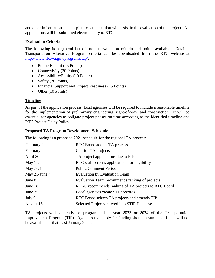and other information such as pictures and text that will assist in the evaluation of the project. All applications will be submitted electronically to RTC.

### **Evaluation Criteria**

The following is a general list of project evaluation criteria and points available. Detailed Transportation Alterative Program criteria can be downloaded from the RTC website at [http://www.rtc.wa.gov/programs/tap/.](http://www.rtc.wa.gov/programs/tap/)

- Public Benefit (25 Points)
- Connectivity (20 Points)
- Accessibility/Equity (10 Points)
- Safety (20 Points)
- Financial Support and Project Readiness (15 Points)
- Other (10 Points)

### **Timeline**

As part of the application process, local agencies will be required to include a reasonable timeline for the implementation of preliminary engineering, right-of-way, and construction. It will be essential for agencies to obligate project phases on time according to the identified timeline and RTC Project Delay Policy.

#### **Proposed TA Program Development Schedule**

The following is a proposed 2021 schedule for the regional TA process:

| February 2    | RTC Board adopts TA process                         |  |
|---------------|-----------------------------------------------------|--|
| February 4    | Call for TA projects                                |  |
| April 30      | TA project applications due to RTC                  |  |
| May $1-7$     | RTC staff screens applications for eligibility      |  |
| May 7-21      | <b>Public Comment Period</b>                        |  |
| May 21-June 4 | <b>Evaluation by Evaluation Team</b>                |  |
| June 8        | Evaluation Team recommends ranking of projects      |  |
| June 18       | RTAC recommends ranking of TA projects to RTC Board |  |
| June 25       | Local agencies create STIP records                  |  |
| July 6        | RTC Board selects TA projects and amends TIP        |  |
| August 15     | Selected Projects entered into STIP Database        |  |

TA projects will generally be programmed in year 2023 or 2024 of the Transportation Improvement Program (TIP). Agencies that apply for funding should assume that funds will not be available until at least January 2022.